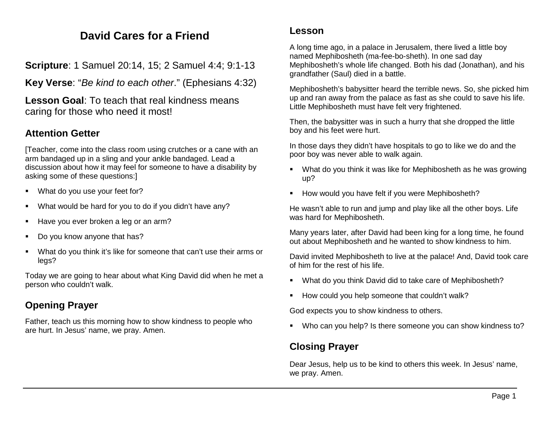# **David Cares for a Friend**

**Scripture**: 1 Samuel 20:14, 15; 2 Samuel 4:4; 9:1-13

**Key Verse**: "*Be kind to each other*." (Ephesians 4:32)

**Lesson Goal**: To teach that real kindness means caring for those who need it most!

## **Attention Getter**

[Teacher, come into the class room using crutches or a cane with an arm bandaged up in a sling and your ankle bandaged. Lead a discussion about how it may feel for someone to have a disability by asking some of these questions:]

- **What do you use your feet for?**
- What would be hard for you to do if you didn't have any?
- Have you ever broken a leg or an arm?
- Do you know anyone that has?
- What do you think it's like for someone that can't use their arms or legs?

Today we are going to hear about what King David did when he met a person who couldn't walk.

## **Opening Prayer**

Father, teach us this morning how to show kindness to people who are hurt. In Jesus' name, we pray. Amen.

#### **Lesson**

A long time ago, in a palace in Jerusalem, there lived a little boy named Mephibosheth (ma-fee-bo-sheth). In one sad day Mephibosheth's whole life changed. Both his dad (Jonathan), and his grandfather (Saul) died in a battle.

Mephibosheth's babysitter heard the terrible news. So, she picked him up and ran away from the palace as fast as she could to save his life. Little Mephibosheth must have felt very frightened.

Then, the babysitter was in such a hurry that she dropped the little boy and his feet were hurt.

In those days they didn't have hospitals to go to like we do and the poor boy was never able to walk again.

- What do you think it was like for Mephibosheth as he was growing up?
- How would you have felt if you were Mephibosheth?

He wasn't able to run and jump and play like all the other boys. Life was hard for Mephibosheth.

Many years later, after David had been king for a long time, he found out about Mephibosheth and he wanted to show kindness to him.

David invited Mephibosheth to live at the palace! And, David took care of him for the rest of his life.

- What do you think David did to take care of Mephibosheth?
- How could you help someone that couldn't walk?

God expects you to show kindness to others.

Who can you help? Is there someone you can show kindness to?

## **Closing Prayer**

Dear Jesus, help us to be kind to others this week. In Jesus' name, we pray. Amen.